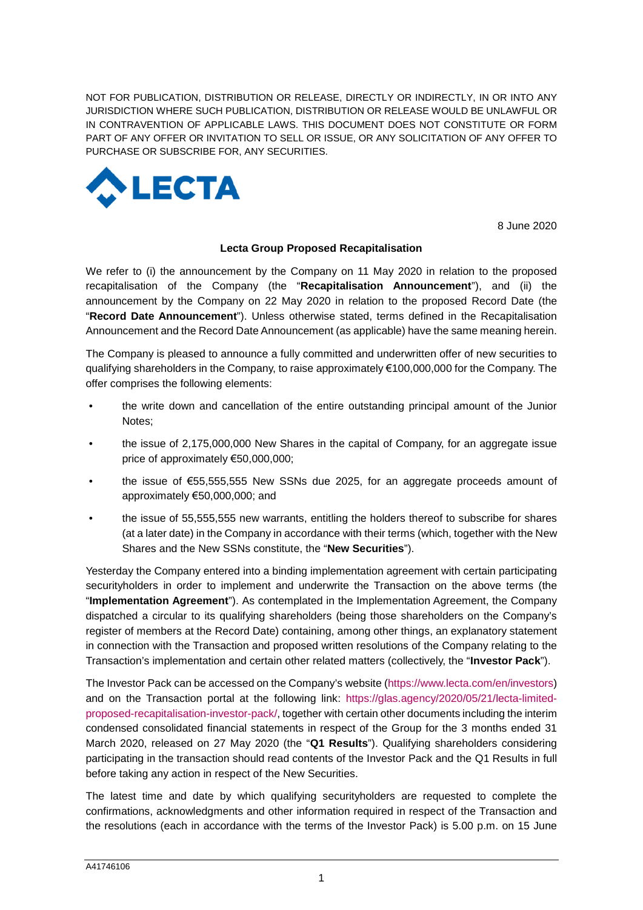NOT FOR PUBLICATION, DISTRIBUTION OR RELEASE, DIRECTLY OR INDIRECTLY, IN OR INTO ANY JURISDICTION WHERE SUCH PUBLICATION, DISTRIBUTION OR RELEASE WOULD BE UNLAWFUL OR IN CONTRAVENTION OF APPLICABLE LAWS. THIS DOCUMENT DOES NOT CONSTITUTE OR FORM PART OF ANY OFFER OR INVITATION TO SELL OR ISSUE, OR ANY SOLICITATION OF ANY OFFER TO PURCHASE OR SUBSCRIBE FOR, ANY SECURITIES.



8 June 2020

## **Lecta Group Proposed Recapitalisation**

We refer to (i) the announcement by the Company on 11 May 2020 in relation to the proposed recapitalisation of the Company (the "**Recapitalisation Announcement**"), and (ii) the announcement by the Company on 22 May 2020 in relation to the proposed Record Date (the "**Record Date Announcement**"). Unless otherwise stated, terms defined in the Recapitalisation Announcement and the Record Date Announcement (as applicable) have the same meaning herein.

The Company is pleased to announce a fully committed and underwritten offer of new securities to qualifying shareholders in the Company, to raise approximately €100,000,000 for the Company. The offer comprises the following elements:

- the write down and cancellation of the entire outstanding principal amount of the Junior Notes;
- the issue of 2,175,000,000 New Shares in the capital of Company, for an aggregate issue price of approximately €50,000,000;
- the issue of €55,555,555 New SSNs due 2025, for an aggregate proceeds amount of approximately €50,000,000; and
- the issue of 55,555,555 new warrants, entitling the holders thereof to subscribe for shares (at a later date) in the Company in accordance with their terms (which, together with the New Shares and the New SSNs constitute, the "**New Securities**").

Yesterday the Company entered into a binding implementation agreement with certain participating securityholders in order to implement and underwrite the Transaction on the above terms (the "**Implementation Agreement**"). As contemplated in the Implementation Agreement, the Company dispatched a circular to its qualifying shareholders (being those shareholders on the Company's register of members at the Record Date) containing, among other things, an explanatory statement in connection with the Transaction and proposed written resolutions of the Company relating to the Transaction's implementation and certain other related matters (collectively, the "**Investor Pack**").

The Investor Pack can be accessed on the Company's website (https://www.lecta.com/en/investors) and on the Transaction portal at the following link: https://glas.agency/2020/05/21/lecta-limitedproposed-recapitalisation-investor-pack/, together with certain other documents including the interim condensed consolidated financial statements in respect of the Group for the 3 months ended 31 March 2020, released on 27 May 2020 (the "**Q1 Results**"). Qualifying shareholders considering participating in the transaction should read contents of the Investor Pack and the Q1 Results in full before taking any action in respect of the New Securities.

The latest time and date by which qualifying securityholders are requested to complete the confirmations, acknowledgments and other information required in respect of the Transaction and the resolutions (each in accordance with the terms of the Investor Pack) is 5.00 p.m. on 15 June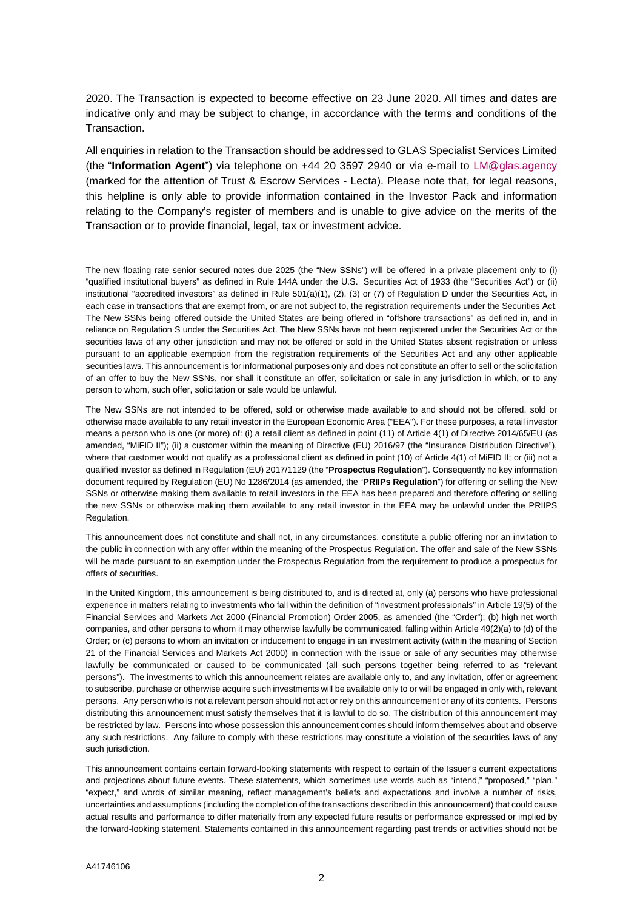2020. The Transaction is expected to become effective on 23 June 2020. All times and dates are indicative only and may be subject to change, in accordance with the terms and conditions of the **Transaction** 

All enquiries in relation to the Transaction should be addressed to GLAS Specialist Services Limited (the "**Information Agent**") via telephone on +44 20 3597 2940 or via e-mail to LM@glas.agency (marked for the attention of Trust & Escrow Services - Lecta). Please note that, for legal reasons, this helpline is only able to provide information contained in the Investor Pack and information relating to the Company's register of members and is unable to give advice on the merits of the Transaction or to provide financial, legal, tax or investment advice.

The new floating rate senior secured notes due 2025 (the "New SSNs") will be offered in a private placement only to (i) "qualified institutional buyers" as defined in Rule 144A under the U.S. Securities Act of 1933 (the "Securities Act") or (ii) institutional "accredited investors" as defined in Rule 501(a)(1), (2), (3) or (7) of Regulation D under the Securities Act, in each case in transactions that are exempt from, or are not subject to, the registration requirements under the Securities Act. The New SSNs being offered outside the United States are being offered in "offshore transactions" as defined in, and in reliance on Regulation S under the Securities Act. The New SSNs have not been registered under the Securities Act or the securities laws of any other jurisdiction and may not be offered or sold in the United States absent registration or unless pursuant to an applicable exemption from the registration requirements of the Securities Act and any other applicable securities laws. This announcement is for informational purposes only and does not constitute an offer to sell or the solicitation of an offer to buy the New SSNs, nor shall it constitute an offer, solicitation or sale in any jurisdiction in which, or to any person to whom, such offer, solicitation or sale would be unlawful.

The New SSNs are not intended to be offered, sold or otherwise made available to and should not be offered, sold or otherwise made available to any retail investor in the European Economic Area ("EEA"). For these purposes, a retail investor means a person who is one (or more) of: (i) a retail client as defined in point (11) of Article 4(1) of Directive 2014/65/EU (as amended, "MiFID II"); (ii) a customer within the meaning of Directive (EU) 2016/97 (the "Insurance Distribution Directive"), where that customer would not qualify as a professional client as defined in point (10) of Article 4(1) of MiFID II; or (iii) not a qualified investor as defined in Regulation (EU) 2017/1129 (the "**Prospectus Regulation**"). Consequently no key information document required by Regulation (EU) No 1286/2014 (as amended, the "**PRIIPs Regulation**") for offering or selling the New SSNs or otherwise making them available to retail investors in the EEA has been prepared and therefore offering or selling the new SSNs or otherwise making them available to any retail investor in the EEA may be unlawful under the PRIIPS Regulation.

This announcement does not constitute and shall not, in any circumstances, constitute a public offering nor an invitation to the public in connection with any offer within the meaning of the Prospectus Regulation. The offer and sale of the New SSNs will be made pursuant to an exemption under the Prospectus Regulation from the requirement to produce a prospectus for offers of securities.

In the United Kingdom, this announcement is being distributed to, and is directed at, only (a) persons who have professional experience in matters relating to investments who fall within the definition of "investment professionals" in Article 19(5) of the Financial Services and Markets Act 2000 (Financial Promotion) Order 2005, as amended (the "Order"); (b) high net worth companies, and other persons to whom it may otherwise lawfully be communicated, falling within Article 49(2)(a) to (d) of the Order; or (c) persons to whom an invitation or inducement to engage in an investment activity (within the meaning of Section 21 of the Financial Services and Markets Act 2000) in connection with the issue or sale of any securities may otherwise lawfully be communicated or caused to be communicated (all such persons together being referred to as "relevant persons"). The investments to which this announcement relates are available only to, and any invitation, offer or agreement to subscribe, purchase or otherwise acquire such investments will be available only to or will be engaged in only with, relevant persons. Any person who is not a relevant person should not act or rely on this announcement or any of its contents. Persons distributing this announcement must satisfy themselves that it is lawful to do so. The distribution of this announcement may be restricted by law. Persons into whose possession this announcement comes should inform themselves about and observe any such restrictions. Any failure to comply with these restrictions may constitute a violation of the securities laws of any such jurisdiction.

This announcement contains certain forward-looking statements with respect to certain of the Issuer's current expectations and projections about future events. These statements, which sometimes use words such as "intend," "proposed," "plan," "expect," and words of similar meaning, reflect management's beliefs and expectations and involve a number of risks, uncertainties and assumptions (including the completion of the transactions described in this announcement) that could cause actual results and performance to differ materially from any expected future results or performance expressed or implied by the forward-looking statement. Statements contained in this announcement regarding past trends or activities should not be